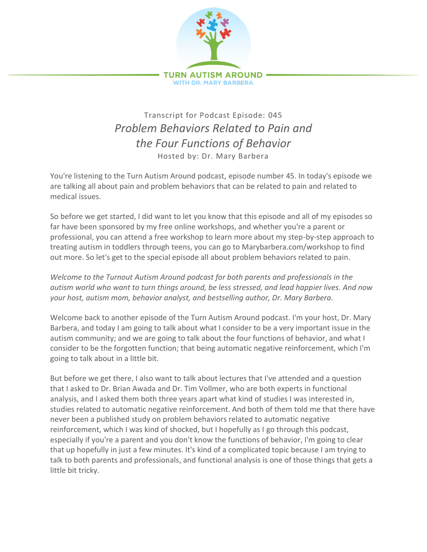

## Transcript for Podcast Episode: 045 *Problem Behaviors Related to Pain and the Four Functions of Behavior* Hosted by: Dr. Mary Barbera

You're listening to the Turn Autism Around podcast, episode number 45. In today's episode we are talking all about pain and problem behaviors that can be related to pain and related to medical issues.

So before we get started, I did want to let you know that this episode and all of my episodes so far have been sponsored by my free online workshops, and whether you're a parent or professional, you can attend a free workshop to learn more about my step-by-step approach to treating autism in toddlers through teens, you can go to Marybarbera.com/workshop to find out more. So let's get to the special episode all about problem behaviors related to pain.

*Welcome to the Turnout Autism Around podcast for both parents and professionals in the autism world who want to turn things around, be less stressed, and lead happier lives. And now your host, autism mom, behavior analyst, and bestselling author, Dr. Mary Barbera.*

Welcome back to another episode of the Turn Autism Around podcast. I'm your host, Dr. Mary Barbera, and today I am going to talk about what I consider to be a very important issue in the autism community; and we are going to talk about the four functions of behavior, and what I consider to be the forgotten function; that being automatic negative reinforcement, which I'm going to talk about in a little bit.

But before we get there, I also want to talk about lectures that I've attended and a question that I asked to Dr. Brian Awada and Dr. Tim Vollmer, who are both experts in functional analysis, and I asked them both three years apart what kind of studies I was interested in, studies related to automatic negative reinforcement. And both of them told me that there have never been a published study on problem behaviors related to automatic negative reinforcement, which I was kind of shocked, but I hopefully as I go through this podcast, especially if you're a parent and you don't know the functions of behavior, I'm going to clear that up hopefully in just a few minutes. It's kind of a complicated topic because I am trying to talk to both parents and professionals, and functional analysis is one of those things that gets a little bit tricky.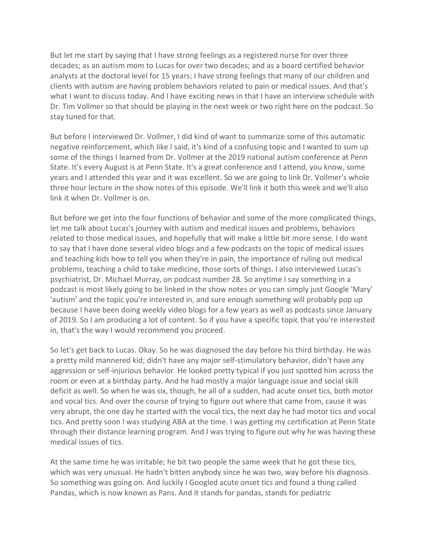But let me start by saying that I have strong feelings as a registered nurse for over three decades; as an autism mom to Lucas for over two decades; and as a board certified behavior analysts at the doctoral level for 15 years; I have strong feelings that many of our children and clients with autism are having problem behaviors related to pain or medical issues. And that's what I want to discuss today. And I have exciting news in that I have an interview schedule with Dr. Tim Vollmer so that should be playing in the next week or two right here on the podcast. So stay tuned for that.

But before I interviewed Dr. Vollmer, I did kind of want to summarize some of this automatic negative reinforcement, which like I said, it's kind of a confusing topic and I wanted to sum up some of the things I learned from Dr. Vollmer at the 2019 national autism conference at Penn State. It's every August is at Penn State. It's a great conference and I attend, you know, some years and I attended this year and it was excellent. So we are going to link Dr. Vollmer's whole three hour lecture in the show notes of this episode. We'll link it both this week and we'll also link it when Dr. Vollmer is on.

But before we get into the four functions of behavior and some of the more complicated things, let me talk about Lucas's journey with autism and medical issues and problems, behaviors related to those medical issues, and hopefully that will make a little bit more sense. I do want to say that I have done several video blogs and a few podcasts on the topic of medical issues and teaching kids how to tell you when they're in pain, the importance of ruling out medical problems, teaching a child to take medicine, those sorts of things. I also interviewed Lucas's psychiatrist, Dr. Michael Murray, on podcast number 28. So anytime I say something in a podcast is most likely going to be linked in the show notes or you can simply just Google 'Mary' 'autism' and the topic you're interested in, and sure enough something will probably pop up because I have been doing weekly video blogs for a few years as well as podcasts since January of 2019. So I am producing a lot of content. So if you have a specific topic that you're interested in, that's the way I would recommend you proceed.

So let's get back to Lucas. Okay. So he was diagnosed the day before his third birthday. He was a pretty mild mannered kid; didn't have any major self-stimulatory behavior, didn't have any aggression or self-injurious behavior. He looked pretty typical if you just spotted him across the room or even at a birthday party. And he had mostly a major language issue and social skill deficit as well. So when he was six, though, he all of a sudden, had acute onset tics, both motor and vocal tics. And over the course of trying to figure out where that came from, cause it was very abrupt, the one day he started with the vocal tics, the next day he had motor tics and vocal tics. And pretty soon I was studying ABA at the time. I was getting my certification at Penn State through their distance learning program. And I was trying to figure out why he was having these medical issues of tics.

At the same time he was irritable; he bit two people the same week that he got these tics, which was very unusual. He hadn't bitten anybody since he was two, way before his diagnosis. So something was going on. And luckily I Googled acute onset tics and found a thing called Pandas, which is now known as Pans. And it stands for pandas, stands for pediatric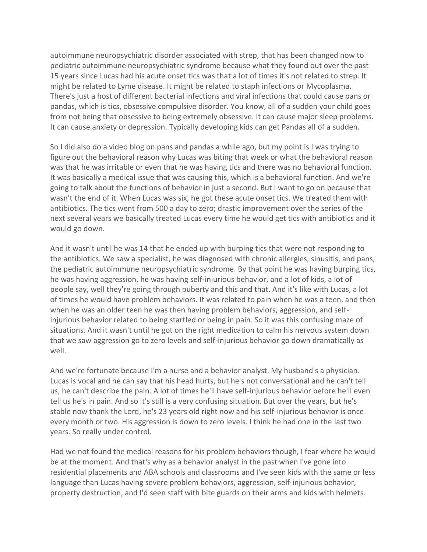autoimmune neuropsychiatric disorder associated with strep, that has been changed now to pediatric autoimmune neuropsychiatric syndrome because what they found out over the past 15 years since Lucas had his acute onset tics was that a lot of times it's not related to strep. It might be related to Lyme disease. It might be related to staph infections or Mycoplasma. There's just a host of different bacterial infections and viral infections that could cause pans or pandas, which is tics, obsessive compulsive disorder. You know, all of a sudden your child goes from not being that obsessive to being extremely obsessive. It can cause major sleep problems. It can cause anxiety or depression. Typically developing kids can get Pandas all of a sudden.

So I did also do a video blog on pans and pandas a while ago, but my point is I was trying to figure out the behavioral reason why Lucas was biting that week or what the behavioral reason was that he was irritable or even that he was having tics and there was no behavioral function. It was basically a medical issue that was causing this, which is a behavioral function. And we're going to talk about the functions of behavior in just a second. But I want to go on because that wasn't the end of it. When Lucas was six, he got these acute onset tics. We treated them with antibiotics. The tics went from 500 a day to zero; drastic improvement over the series of the next several years we basically treated Lucas every time he would get tics with antibiotics and it would go down.

And it wasn't until he was 14 that he ended up with burping tics that were not responding to the antibiotics. We saw a specialist, he was diagnosed with chronic allergies, sinusitis, and pans, the pediatric autoimmune neuropsychiatric syndrome. By that point he was having burping tics, he was having aggression, he was having self-injurious behavior, and a lot of kids, a lot of people say, well they're going through puberty and this and that. And it's like with Lucas, a lot of times he would have problem behaviors. It was related to pain when he was a teen, and then when he was an older teen he was then having problem behaviors, aggression, and selfinjurious behavior related to being startled or being in pain. So it was this confusing maze of situations. And it wasn't until he got on the right medication to calm his nervous system down that we saw aggression go to zero levels and self-injurious behavior go down dramatically as well.

And we're fortunate because I'm a nurse and a behavior analyst. My husband's a physician. Lucas is vocal and he can say that his head hurts, but he's not conversational and he can't tell us, he can't describe the pain. A lot of times he'll have self-injurious behavior before he'll even tell us he's in pain. And so it's still is a very confusing situation. But over the years, but he's stable now thank the Lord, he's 23 years old right now and his self-injurious behavior is once every month or two. His aggression is down to zero levels. I think he had one in the last two years. So really under control.

Had we not found the medical reasons for his problem behaviors though, I fear where he would be at the moment. And that's why as a behavior analyst in the past when I've gone into residential placements and ABA schools and classrooms and I've seen kids with the same or less language than Lucas having severe problem behaviors, aggression, self-injurious behavior, property destruction, and I'd seen staff with bite guards on their arms and kids with helmets.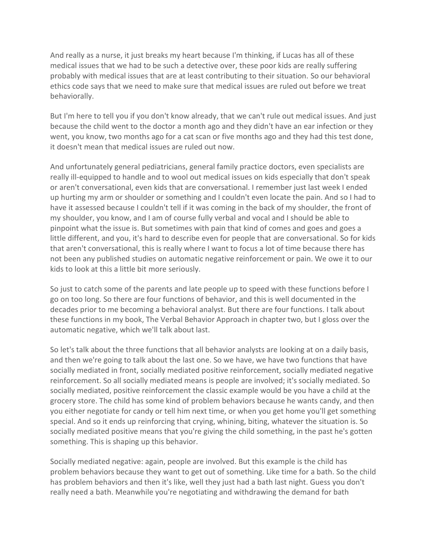And really as a nurse, it just breaks my heart because I'm thinking, if Lucas has all of these medical issues that we had to be such a detective over, these poor kids are really suffering probably with medical issues that are at least contributing to their situation. So our behavioral ethics code says that we need to make sure that medical issues are ruled out before we treat behaviorally.

But I'm here to tell you if you don't know already, that we can't rule out medical issues. And just because the child went to the doctor a month ago and they didn't have an ear infection or they went, you know, two months ago for a cat scan or five months ago and they had this test done, it doesn't mean that medical issues are ruled out now.

And unfortunately general pediatricians, general family practice doctors, even specialists are really ill-equipped to handle and to wool out medical issues on kids especially that don't speak or aren't conversational, even kids that are conversational. I remember just last week I ended up hurting my arm or shoulder or something and I couldn't even locate the pain. And so I had to have it assessed because I couldn't tell if it was coming in the back of my shoulder, the front of my shoulder, you know, and I am of course fully verbal and vocal and I should be able to pinpoint what the issue is. But sometimes with pain that kind of comes and goes and goes a little different, and you, it's hard to describe even for people that are conversational. So for kids that aren't conversational, this is really where I want to focus a lot of time because there has not been any published studies on automatic negative reinforcement or pain. We owe it to our kids to look at this a little bit more seriously.

So just to catch some of the parents and late people up to speed with these functions before I go on too long. So there are four functions of behavior, and this is well documented in the decades prior to me becoming a behavioral analyst. But there are four functions. I talk about these functions in my book, The Verbal Behavior Approach in chapter two, but I gloss over the automatic negative, which we'll talk about last.

So let's talk about the three functions that all behavior analysts are looking at on a daily basis, and then we're going to talk about the last one. So we have, we have two functions that have socially mediated in front, socially mediated positive reinforcement, socially mediated negative reinforcement. So all socially mediated means is people are involved; it's socially mediated. So socially mediated, positive reinforcement the classic example would be you have a child at the grocery store. The child has some kind of problem behaviors because he wants candy, and then you either negotiate for candy or tell him next time, or when you get home you'll get something special. And so it ends up reinforcing that crying, whining, biting, whatever the situation is. So socially mediated positive means that you're giving the child something, in the past he's gotten something. This is shaping up this behavior.

Socially mediated negative: again, people are involved. But this example is the child has problem behaviors because they want to get out of something. Like time for a bath. So the child has problem behaviors and then it's like, well they just had a bath last night. Guess you don't really need a bath. Meanwhile you're negotiating and withdrawing the demand for bath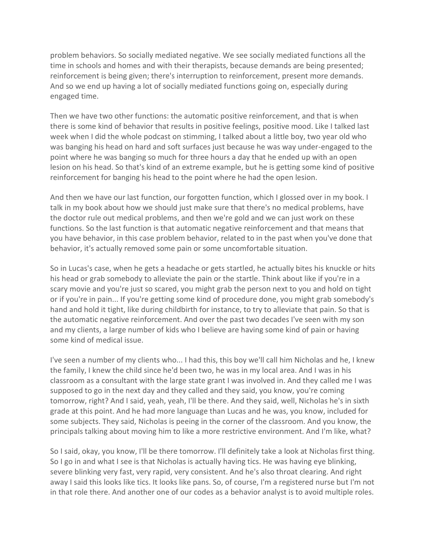problem behaviors. So socially mediated negative. We see socially mediated functions all the time in schools and homes and with their therapists, because demands are being presented; reinforcement is being given; there's interruption to reinforcement, present more demands. And so we end up having a lot of socially mediated functions going on, especially during engaged time.

Then we have two other functions: the automatic positive reinforcement, and that is when there is some kind of behavior that results in positive feelings, positive mood. Like I talked last week when I did the whole podcast on stimming, I talked about a little boy, two year old who was banging his head on hard and soft surfaces just because he was way under-engaged to the point where he was banging so much for three hours a day that he ended up with an open lesion on his head. So that's kind of an extreme example, but he is getting some kind of positive reinforcement for banging his head to the point where he had the open lesion.

And then we have our last function, our forgotten function, which I glossed over in my book. I talk in my book about how we should just make sure that there's no medical problems, have the doctor rule out medical problems, and then we're gold and we can just work on these functions. So the last function is that automatic negative reinforcement and that means that you have behavior, in this case problem behavior, related to in the past when you've done that behavior, it's actually removed some pain or some uncomfortable situation.

So in Lucas's case, when he gets a headache or gets startled, he actually bites his knuckle or hits his head or grab somebody to alleviate the pain or the startle. Think about like if you're in a scary movie and you're just so scared, you might grab the person next to you and hold on tight or if you're in pain... If you're getting some kind of procedure done, you might grab somebody's hand and hold it tight, like during childbirth for instance, to try to alleviate that pain. So that is the automatic negative reinforcement. And over the past two decades I've seen with my son and my clients, a large number of kids who I believe are having some kind of pain or having some kind of medical issue.

I've seen a number of my clients who... I had this, this boy we'll call him Nicholas and he, I knew the family, I knew the child since he'd been two, he was in my local area. And I was in his classroom as a consultant with the large state grant I was involved in. And they called me I was supposed to go in the next day and they called and they said, you know, you're coming tomorrow, right? And I said, yeah, yeah, I'll be there. And they said, well, Nicholas he's in sixth grade at this point. And he had more language than Lucas and he was, you know, included for some subjects. They said, Nicholas is peeing in the corner of the classroom. And you know, the principals talking about moving him to like a more restrictive environment. And I'm like, what?

So I said, okay, you know, I'll be there tomorrow. I'll definitely take a look at Nicholas first thing. So I go in and what I see is that Nicholas is actually having tics. He was having eye blinking, severe blinking very fast, very rapid, very consistent. And he's also throat clearing. And right away I said this looks like tics. It looks like pans. So, of course, I'm a registered nurse but I'm not in that role there. And another one of our codes as a behavior analyst is to avoid multiple roles.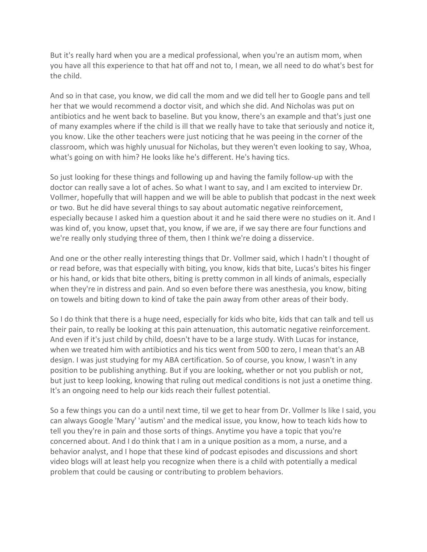But it's really hard when you are a medical professional, when you're an autism mom, when you have all this experience to that hat off and not to, I mean, we all need to do what's best for the child.

And so in that case, you know, we did call the mom and we did tell her to Google pans and tell her that we would recommend a doctor visit, and which she did. And Nicholas was put on antibiotics and he went back to baseline. But you know, there's an example and that's just one of many examples where if the child is ill that we really have to take that seriously and notice it, you know. Like the other teachers were just noticing that he was peeing in the corner of the classroom, which was highly unusual for Nicholas, but they weren't even looking to say, Whoa, what's going on with him? He looks like he's different. He's having tics.

So just looking for these things and following up and having the family follow-up with the doctor can really save a lot of aches. So what I want to say, and I am excited to interview Dr. Vollmer, hopefully that will happen and we will be able to publish that podcast in the next week or two. But he did have several things to say about automatic negative reinforcement, especially because I asked him a question about it and he said there were no studies on it. And I was kind of, you know, upset that, you know, if we are, if we say there are four functions and we're really only studying three of them, then I think we're doing a disservice.

And one or the other really interesting things that Dr. Vollmer said, which I hadn't I thought of or read before, was that especially with biting, you know, kids that bite, Lucas's bites his finger or his hand, or kids that bite others, biting is pretty common in all kinds of animals, especially when they're in distress and pain. And so even before there was anesthesia, you know, biting on towels and biting down to kind of take the pain away from other areas of their body.

So I do think that there is a huge need, especially for kids who bite, kids that can talk and tell us their pain, to really be looking at this pain attenuation, this automatic negative reinforcement. And even if it's just child by child, doesn't have to be a large study. With Lucas for instance, when we treated him with antibiotics and his tics went from 500 to zero, I mean that's an AB design. I was just studying for my ABA certification. So of course, you know, I wasn't in any position to be publishing anything. But if you are looking, whether or not you publish or not, but just to keep looking, knowing that ruling out medical conditions is not just a onetime thing. It's an ongoing need to help our kids reach their fullest potential.

So a few things you can do a until next time, til we get to hear from Dr. Vollmer Is like I said, you can always Google 'Mary' 'autism' and the medical issue, you know, how to teach kids how to tell you they're in pain and those sorts of things. Anytime you have a topic that you're concerned about. And I do think that I am in a unique position as a mom, a nurse, and a behavior analyst, and I hope that these kind of podcast episodes and discussions and short video blogs will at least help you recognize when there is a child with potentially a medical problem that could be causing or contributing to problem behaviors.